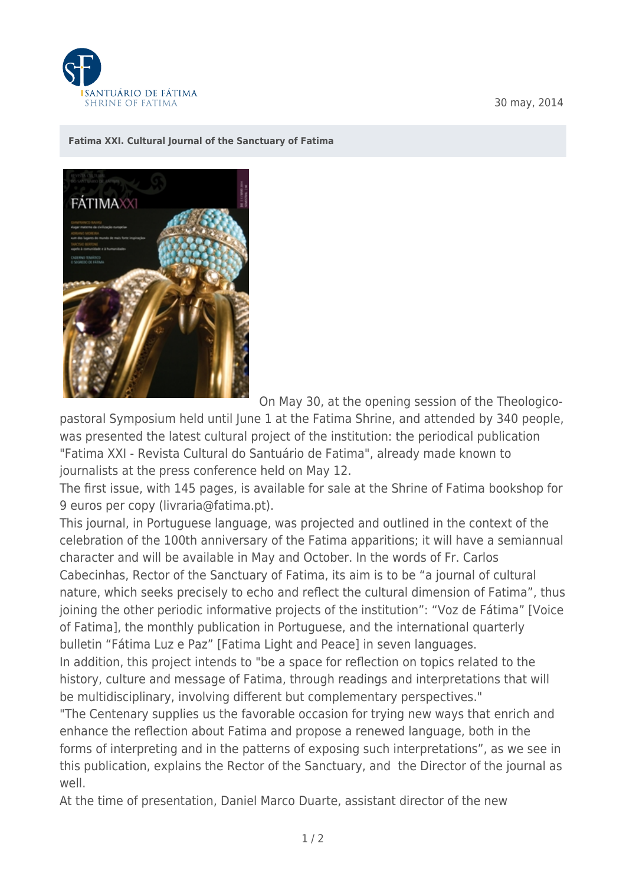

30 may, 2014

## **[Fatima XXI. Cultural Journal of the Sanctuary of Fatima](https://www.fatima.pt/en/news/fatima-xxi-cultural-journal-of-the-sanctuary-of-fatima)**



On May 30, at the opening session of the Theologico-

pastoral Symposium held until June 1 at the Fatima Shrine, and attended by 340 people, was presented the latest cultural project of the institution: the periodical publication "Fatima XXI - Revista Cultural do Santuário de Fatima", already made known to journalists at the press conference held on May 12.

The first issue, with 145 pages, is available for sale at the Shrine of Fatima bookshop for 9 euros per copy (livraria@fatima.pt).

This journal, in Portuguese language, was projected and outlined in the context of the celebration of the 100th anniversary of the Fatima apparitions; it will have a semiannual character and will be available in May and October. In the words of Fr. Carlos Cabecinhas, Rector of the Sanctuary of Fatima, its aim is to be "a journal of cultural nature, which seeks precisely to echo and reflect the cultural dimension of Fatima", thus joining the other periodic informative projects of the institution": "Voz de Fátima" [Voice of Fatima], the monthly publication in Portuguese, and the international quarterly bulletin "Fátima Luz e Paz" [Fatima Light and Peace] in seven languages.

In addition, this project intends to "be a space for reflection on topics related to the history, culture and message of Fatima, through readings and interpretations that will be multidisciplinary, involving different but complementary perspectives."

"The Centenary supplies us the favorable occasion for trying new ways that enrich and enhance the reflection about Fatima and propose a renewed language, both in the forms of interpreting and in the patterns of exposing such interpretations", as we see in this publication, explains the Rector of the Sanctuary, and the Director of the journal as well.

At the time of presentation, Daniel Marco Duarte, assistant director of the new